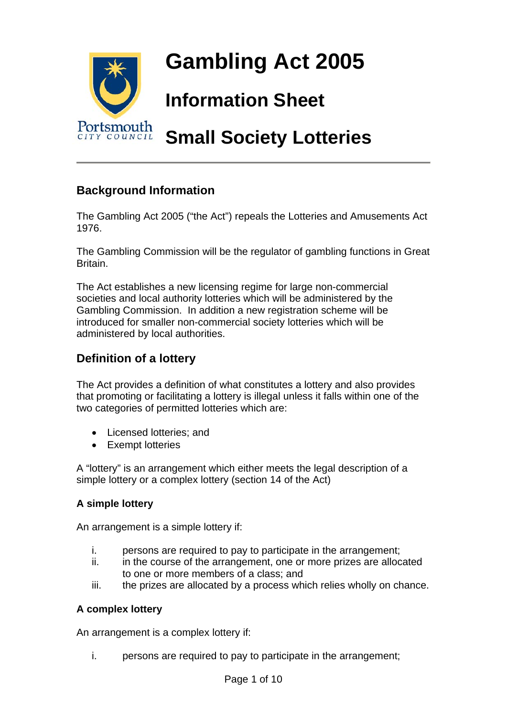

# **Background Information**

The Gambling Act 2005 ("the Act") repeals the Lotteries and Amusements Act 1976.

The Gambling Commission will be the regulator of gambling functions in Great Britain.

The Act establishes a new licensing regime for large non-commercial societies and local authority lotteries which will be administered by the Gambling Commission. In addition a new registration scheme will be introduced for smaller non-commercial society lotteries which will be administered by local authorities.

# **Definition of a lottery**

The Act provides a definition of what constitutes a lottery and also provides that promoting or facilitating a lottery is illegal unless it falls within one of the two categories of permitted lotteries which are:

- Licensed lotteries; and
- Exempt lotteries

A "lottery" is an arrangement which either meets the legal description of a simple lottery or a complex lottery (section 14 of the Act)

#### **A simple lottery**

An arrangement is a simple lottery if:

- i. persons are required to pay to participate in the arrangement;
- ii. in the course of the arrangement, one or more prizes are allocated to one or more members of a class; and
- iii. the prizes are allocated by a process which relies wholly on chance.

#### **A complex lottery**

An arrangement is a complex lottery if:

i. persons are required to pay to participate in the arrangement;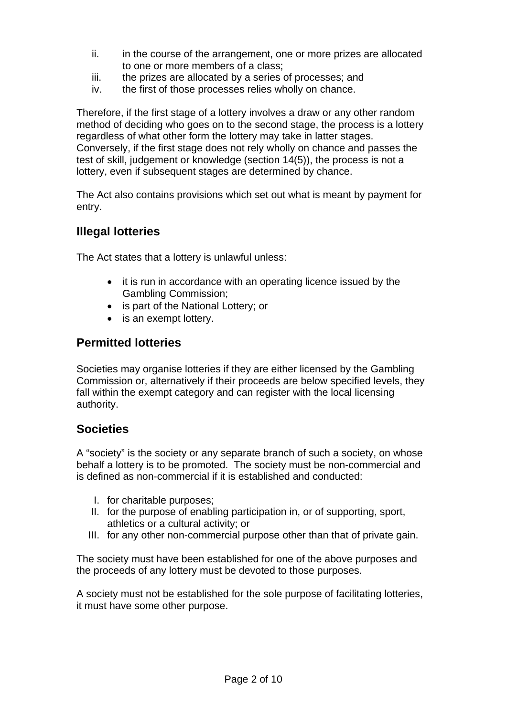- ii. in the course of the arrangement, one or more prizes are allocated to one or more members of a class;
- iii. the prizes are allocated by a series of processes; and
- iv. the first of those processes relies wholly on chance.

Therefore, if the first stage of a lottery involves a draw or any other random method of deciding who goes on to the second stage, the process is a lottery regardless of what other form the lottery may take in latter stages. Conversely, if the first stage does not rely wholly on chance and passes the test of skill, judgement or knowledge (section 14(5)), the process is not a lottery, even if subsequent stages are determined by chance.

The Act also contains provisions which set out what is meant by payment for entry.

# **Illegal lotteries**

The Act states that a lottery is unlawful unless:

- it is run in accordance with an operating licence issued by the Gambling Commission;
- is part of the National Lottery; or
- is an exempt lottery.

### **Permitted lotteries**

Societies may organise lotteries if they are either licensed by the Gambling Commission or, alternatively if their proceeds are below specified levels, they fall within the exempt category and can register with the local licensing authority.

### **Societies**

A "society" is the society or any separate branch of such a society, on whose behalf a lottery is to be promoted. The society must be non-commercial and is defined as non-commercial if it is established and conducted:

- I. for charitable purposes;
- II. for the purpose of enabling participation in, or of supporting, sport, athletics or a cultural activity; or
- III. for any other non-commercial purpose other than that of private gain.

The society must have been established for one of the above purposes and the proceeds of any lottery must be devoted to those purposes.

A society must not be established for the sole purpose of facilitating lotteries, it must have some other purpose.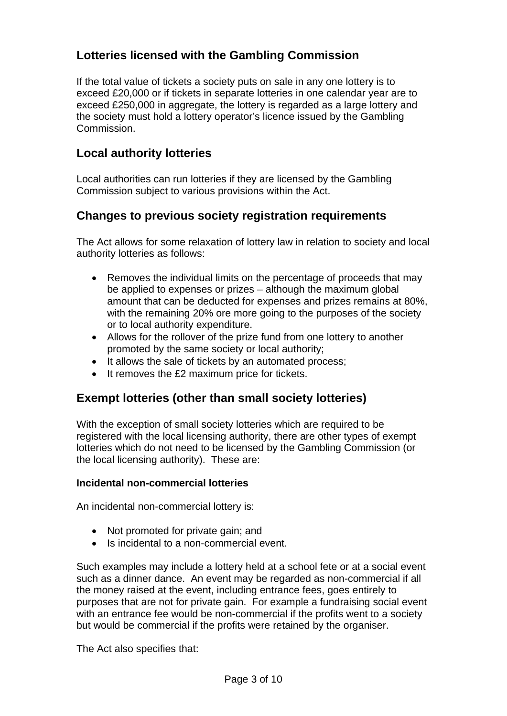# **Lotteries licensed with the Gambling Commission**

If the total value of tickets a society puts on sale in any one lottery is to exceed £20,000 or if tickets in separate lotteries in one calendar year are to exceed £250,000 in aggregate, the lottery is regarded as a large lottery and the society must hold a lottery operator's licence issued by the Gambling Commission.

# **Local authority lotteries**

Local authorities can run lotteries if they are licensed by the Gambling Commission subject to various provisions within the Act.

# **Changes to previous society registration requirements**

The Act allows for some relaxation of lottery law in relation to society and local authority lotteries as follows:

- Removes the individual limits on the percentage of proceeds that may be applied to expenses or prizes – although the maximum global amount that can be deducted for expenses and prizes remains at 80%, with the remaining 20% ore more going to the purposes of the society or to local authority expenditure.
- Allows for the rollover of the prize fund from one lottery to another promoted by the same society or local authority;
- It allows the sale of tickets by an automated process;
- It removes the £2 maximum price for tickets.

# **Exempt lotteries (other than small society lotteries)**

With the exception of small society lotteries which are required to be registered with the local licensing authority, there are other types of exempt lotteries which do not need to be licensed by the Gambling Commission (or the local licensing authority). These are:

#### **Incidental non-commercial lotteries**

An incidental non-commercial lottery is:

- Not promoted for private gain; and
- Is incidental to a non-commercial event.

Such examples may include a lottery held at a school fete or at a social event such as a dinner dance. An event may be regarded as non-commercial if all the money raised at the event, including entrance fees, goes entirely to purposes that are not for private gain. For example a fundraising social event with an entrance fee would be non-commercial if the profits went to a society but would be commercial if the profits were retained by the organiser.

The Act also specifies that: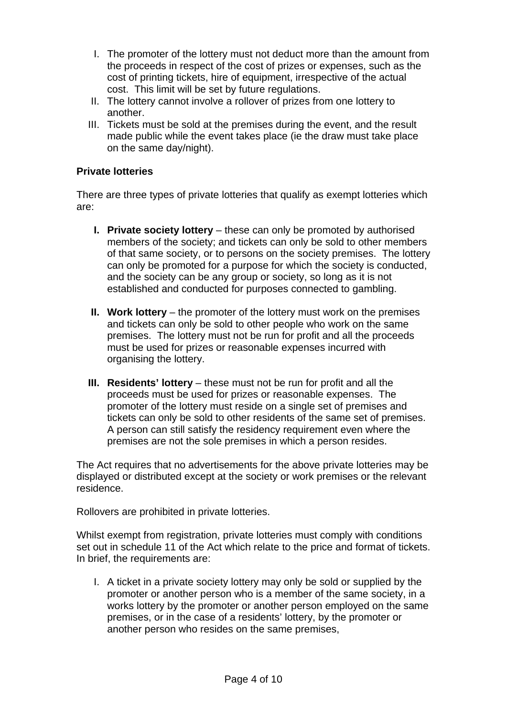- I. The promoter of the lottery must not deduct more than the amount from the proceeds in respect of the cost of prizes or expenses, such as the cost of printing tickets, hire of equipment, irrespective of the actual cost. This limit will be set by future regulations.
- II. The lottery cannot involve a rollover of prizes from one lottery to another.
- III. Tickets must be sold at the premises during the event, and the result made public while the event takes place (ie the draw must take place on the same day/night).

#### **Private lotteries**

There are three types of private lotteries that qualify as exempt lotteries which are:

- **I. Private society lottery** these can only be promoted by authorised members of the society; and tickets can only be sold to other members of that same society, or to persons on the society premises. The lottery can only be promoted for a purpose for which the society is conducted, and the society can be any group or society, so long as it is not established and conducted for purposes connected to gambling.
- **II. Work lottery** the promoter of the lottery must work on the premises and tickets can only be sold to other people who work on the same premises. The lottery must not be run for profit and all the proceeds must be used for prizes or reasonable expenses incurred with organising the lottery.
- **III. Residents' lottery** these must not be run for profit and all the proceeds must be used for prizes or reasonable expenses. The promoter of the lottery must reside on a single set of premises and tickets can only be sold to other residents of the same set of premises. A person can still satisfy the residency requirement even where the premises are not the sole premises in which a person resides.

The Act requires that no advertisements for the above private lotteries may be displayed or distributed except at the society or work premises or the relevant residence.

Rollovers are prohibited in private lotteries.

Whilst exempt from registration, private lotteries must comply with conditions set out in schedule 11 of the Act which relate to the price and format of tickets. In brief, the requirements are:

I. A ticket in a private society lottery may only be sold or supplied by the promoter or another person who is a member of the same society, in a works lottery by the promoter or another person employed on the same premises, or in the case of a residents' lottery, by the promoter or another person who resides on the same premises,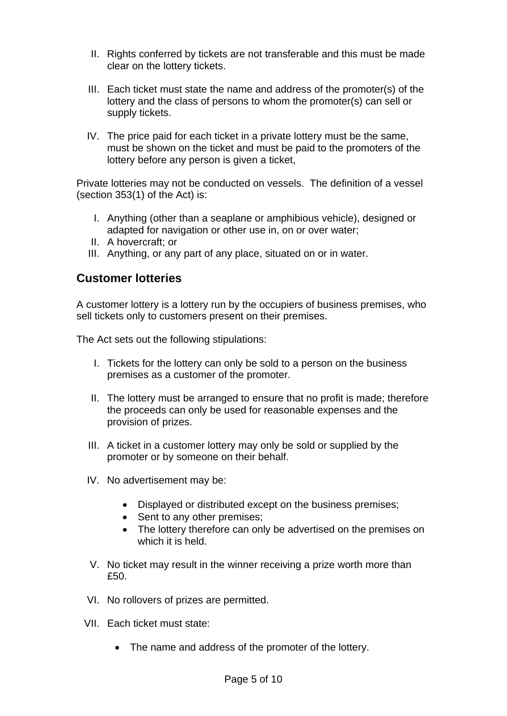- II. Rights conferred by tickets are not transferable and this must be made clear on the lottery tickets.
- III. Each ticket must state the name and address of the promoter(s) of the lottery and the class of persons to whom the promoter(s) can sell or supply tickets.
- IV. The price paid for each ticket in a private lottery must be the same, must be shown on the ticket and must be paid to the promoters of the lottery before any person is given a ticket,

Private lotteries may not be conducted on vessels. The definition of a vessel (section 353(1) of the Act) is:

- I. Anything (other than a seaplane or amphibious vehicle), designed or adapted for navigation or other use in, on or over water;
- II. A hovercraft; or
- III. Anything, or any part of any place, situated on or in water.

### **Customer lotteries**

A customer lottery is a lottery run by the occupiers of business premises, who sell tickets only to customers present on their premises.

The Act sets out the following stipulations:

- I. Tickets for the lottery can only be sold to a person on the business premises as a customer of the promoter.
- II. The lottery must be arranged to ensure that no profit is made; therefore the proceeds can only be used for reasonable expenses and the provision of prizes.
- III. A ticket in a customer lottery may only be sold or supplied by the promoter or by someone on their behalf.
- IV. No advertisement may be:
	- Displayed or distributed except on the business premises;
	- Sent to any other premises:
	- The lottery therefore can only be advertised on the premises on which it is held.
- V. No ticket may result in the winner receiving a prize worth more than £50.
- VI. No rollovers of prizes are permitted.
- VII. Each ticket must state:
	- The name and address of the promoter of the lottery.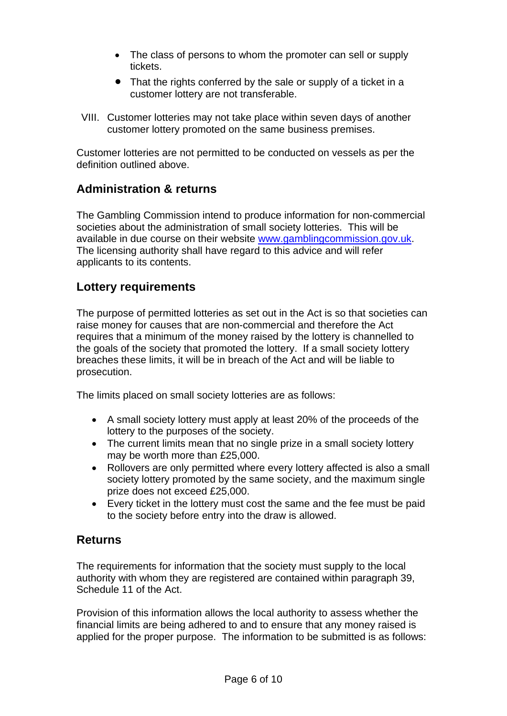- The class of persons to whom the promoter can sell or supply tickets.
- That the rights conferred by the sale or supply of a ticket in a customer lottery are not transferable.
- VIII. Customer lotteries may not take place within seven days of another customer lottery promoted on the same business premises.

Customer lotteries are not permitted to be conducted on vessels as per the definition outlined above.

# **Administration & returns**

The Gambling Commission intend to produce information for non-commercial societies about the administration of small society lotteries. This will be available in due course on their website [www.gamblingcommission.gov.uk](http://www.gamblingcommission.gov.uk/). The licensing authority shall have regard to this advice and will refer applicants to its contents.

# **Lottery requirements**

The purpose of permitted lotteries as set out in the Act is so that societies can raise money for causes that are non-commercial and therefore the Act requires that a minimum of the money raised by the lottery is channelled to the goals of the society that promoted the lottery. If a small society lottery breaches these limits, it will be in breach of the Act and will be liable to prosecution.

The limits placed on small society lotteries are as follows:

- A small society lottery must apply at least 20% of the proceeds of the lottery to the purposes of the society.
- The current limits mean that no single prize in a small society lottery may be worth more than £25,000.
- Rollovers are only permitted where every lottery affected is also a small society lottery promoted by the same society, and the maximum single prize does not exceed £25,000.
- Every ticket in the lottery must cost the same and the fee must be paid to the society before entry into the draw is allowed.

### **Returns**

The requirements for information that the society must supply to the local authority with whom they are registered are contained within paragraph 39, Schedule 11 of the Act.

Provision of this information allows the local authority to assess whether the financial limits are being adhered to and to ensure that any money raised is applied for the proper purpose. The information to be submitted is as follows: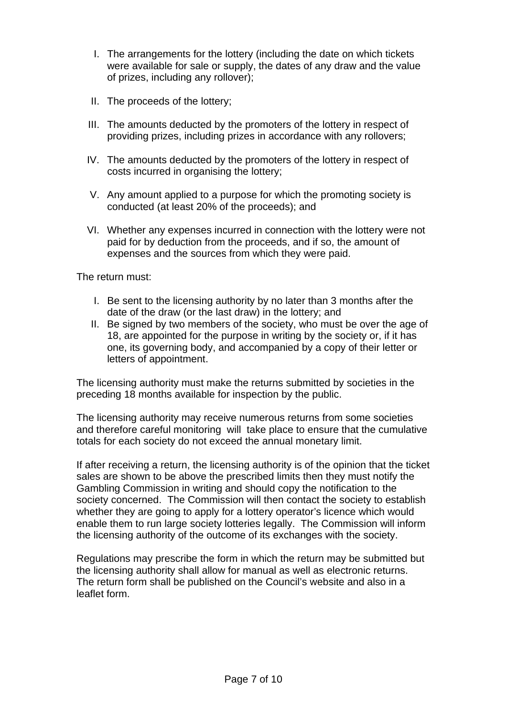- I. The arrangements for the lottery (including the date on which tickets were available for sale or supply, the dates of any draw and the value of prizes, including any rollover);
- II. The proceeds of the lottery;
- III. The amounts deducted by the promoters of the lottery in respect of providing prizes, including prizes in accordance with any rollovers;
- IV. The amounts deducted by the promoters of the lottery in respect of costs incurred in organising the lottery;
- V. Any amount applied to a purpose for which the promoting society is conducted (at least 20% of the proceeds); and
- VI. Whether any expenses incurred in connection with the lottery were not paid for by deduction from the proceeds, and if so, the amount of expenses and the sources from which they were paid.

The return must:

- I. Be sent to the licensing authority by no later than 3 months after the date of the draw (or the last draw) in the lottery; and
- II. Be signed by two members of the society, who must be over the age of 18, are appointed for the purpose in writing by the society or, if it has one, its governing body, and accompanied by a copy of their letter or letters of appointment.

The licensing authority must make the returns submitted by societies in the preceding 18 months available for inspection by the public.

The licensing authority may receive numerous returns from some societies and therefore careful monitoring will take place to ensure that the cumulative totals for each society do not exceed the annual monetary limit.

If after receiving a return, the licensing authority is of the opinion that the ticket sales are shown to be above the prescribed limits then they must notify the Gambling Commission in writing and should copy the notification to the society concerned. The Commission will then contact the society to establish whether they are going to apply for a lottery operator's licence which would enable them to run large society lotteries legally. The Commission will inform the licensing authority of the outcome of its exchanges with the society.

Regulations may prescribe the form in which the return may be submitted but the licensing authority shall allow for manual as well as electronic returns. The return form shall be published on the Council's website and also in a leaflet form.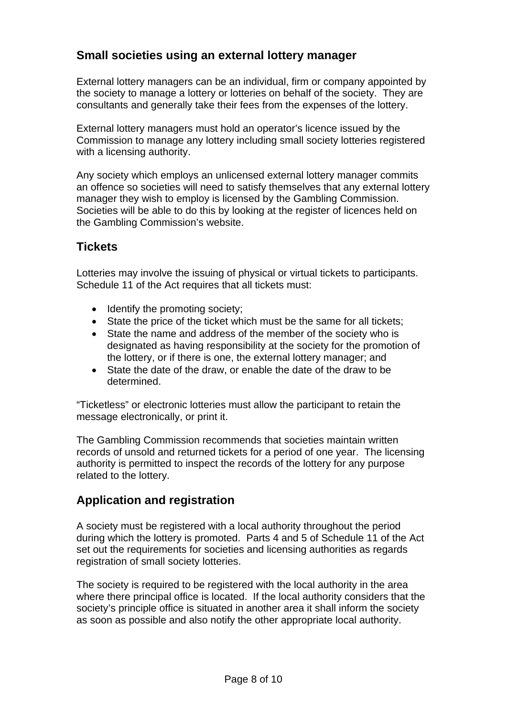# **Small societies using an external lottery manager**

External lottery managers can be an individual, firm or company appointed by the society to manage a lottery or lotteries on behalf of the society. They are consultants and generally take their fees from the expenses of the lottery.

External lottery managers must hold an operator's licence issued by the Commission to manage any lottery including small society lotteries registered with a licensing authority.

Any society which employs an unlicensed external lottery manager commits an offence so societies will need to satisfy themselves that any external lottery manager they wish to employ is licensed by the Gambling Commission. Societies will be able to do this by looking at the register of licences held on the Gambling Commission's website.

# **Tickets**

Lotteries may involve the issuing of physical or virtual tickets to participants. Schedule 11 of the Act requires that all tickets must:

- Identify the promoting society;
- State the price of the ticket which must be the same for all tickets;
- State the name and address of the member of the society who is designated as having responsibility at the society for the promotion of the lottery, or if there is one, the external lottery manager; and
- State the date of the draw, or enable the date of the draw to be determined.

"Ticketless" or electronic lotteries must allow the participant to retain the message electronically, or print it.

The Gambling Commission recommends that societies maintain written records of unsold and returned tickets for a period of one year. The licensing authority is permitted to inspect the records of the lottery for any purpose related to the lottery.

# **Application and registration**

A society must be registered with a local authority throughout the period during which the lottery is promoted. Parts 4 and 5 of Schedule 11 of the Act set out the requirements for societies and licensing authorities as regards registration of small society lotteries.

The society is required to be registered with the local authority in the area where there principal office is located. If the local authority considers that the society's principle office is situated in another area it shall inform the society as soon as possible and also notify the other appropriate local authority.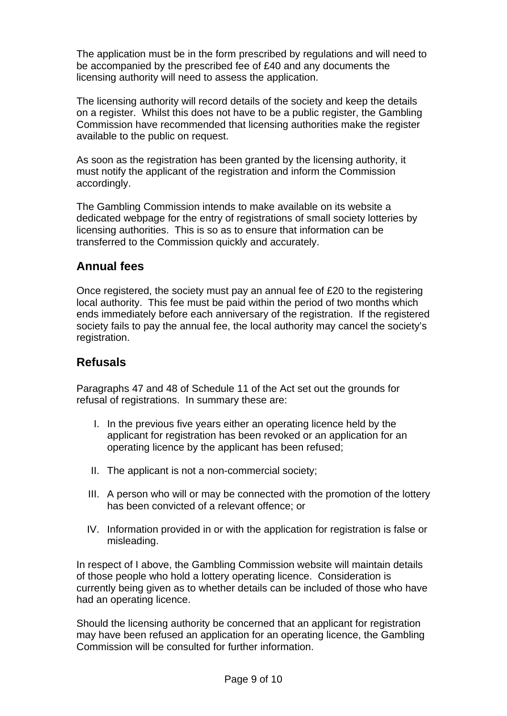The application must be in the form prescribed by regulations and will need to be accompanied by the prescribed fee of £40 and any documents the licensing authority will need to assess the application.

The licensing authority will record details of the society and keep the details on a register. Whilst this does not have to be a public register, the Gambling Commission have recommended that licensing authorities make the register available to the public on request.

As soon as the registration has been granted by the licensing authority, it must notify the applicant of the registration and inform the Commission accordingly.

The Gambling Commission intends to make available on its website a dedicated webpage for the entry of registrations of small society lotteries by licensing authorities. This is so as to ensure that information can be transferred to the Commission quickly and accurately.

# **Annual fees**

Once registered, the society must pay an annual fee of £20 to the registering local authority. This fee must be paid within the period of two months which ends immediately before each anniversary of the registration. If the registered society fails to pay the annual fee, the local authority may cancel the society's registration.

### **Refusals**

Paragraphs 47 and 48 of Schedule 11 of the Act set out the grounds for refusal of registrations. In summary these are:

- I. In the previous five years either an operating licence held by the applicant for registration has been revoked or an application for an operating licence by the applicant has been refused;
- II. The applicant is not a non-commercial society;
- III. A person who will or may be connected with the promotion of the lottery has been convicted of a relevant offence; or
- IV. Information provided in or with the application for registration is false or misleading.

In respect of I above, the Gambling Commission website will maintain details of those people who hold a lottery operating licence. Consideration is currently being given as to whether details can be included of those who have had an operating licence.

Should the licensing authority be concerned that an applicant for registration may have been refused an application for an operating licence, the Gambling Commission will be consulted for further information.